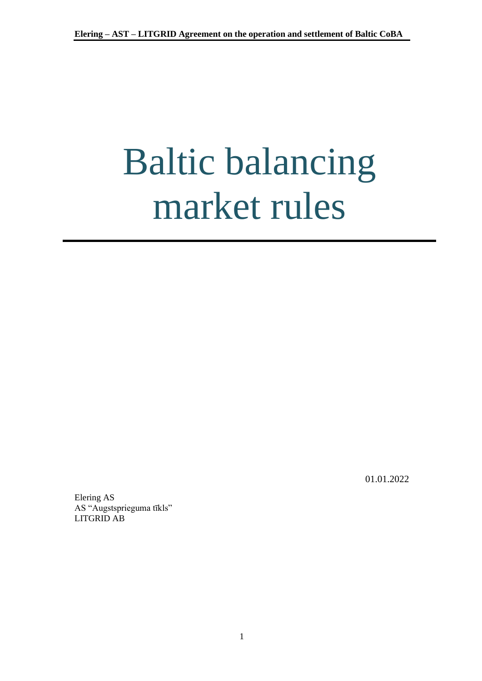# Baltic balancing market rules

01.01.2022

Elering AS AS "Augstsprieguma tīkls" LITGRID AB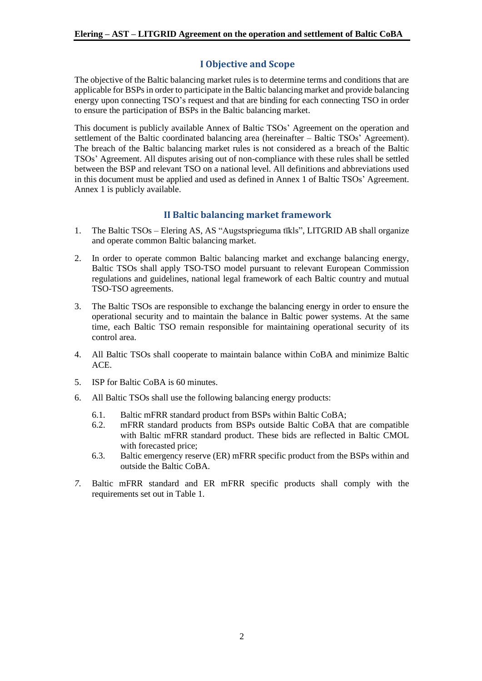### **I Objective and Scope**

The objective of the Baltic balancing market rules is to determine terms and conditions that are applicable for BSPs in order to participate in the Baltic balancing market and provide balancing energy upon connecting TSO's request and that are binding for each connecting TSO in order to ensure the participation of BSPs in the Baltic balancing market.

This document is publicly available Annex of Baltic TSOs' Agreement on the operation and settlement of the Baltic coordinated balancing area (hereinafter – Baltic TSOs' Agreement). The breach of the Baltic balancing market rules is not considered as a breach of the Baltic TSOs' Agreement. All disputes arising out of non-compliance with these rules shall be settled between the BSP and relevant TSO on a national level. All definitions and abbreviations used in this document must be applied and used as defined in Annex 1 of Baltic TSOs' Agreement. Annex 1 is publicly available.

### **II Baltic balancing market framework**

- 1. The Baltic TSOs Elering AS, AS "Augstsprieguma tīkls", LITGRID AB shall organize and operate common Baltic balancing market.
- 2. In order to operate common Baltic balancing market and exchange balancing energy, Baltic TSOs shall apply TSO-TSO model pursuant to relevant European Commission regulations and guidelines, national legal framework of each Baltic country and mutual TSO-TSO agreements.
- 3. The Baltic TSOs are responsible to exchange the balancing energy in order to ensure the operational security and to maintain the balance in Baltic power systems. At the same time, each Baltic TSO remain responsible for maintaining operational security of its control area.
- 4. All Baltic TSOs shall cooperate to maintain balance within CoBA and minimize Baltic ACE.
- 5. ISP for Baltic CoBA is 60 minutes.
- 6. All Baltic TSOs shall use the following balancing energy products:
	- 6.1. Baltic mFRR standard product from BSPs within Baltic CoBA;
	- 6.2. mFRR standard products from BSPs outside Baltic CoBA that are compatible with Baltic mFRR standard product. These bids are reflected in Baltic CMOL with forecasted price;
	- 6.3. Baltic emergency reserve (ER) mFRR specific product from the BSPs within and outside the Baltic CoBA.
- *7.* Baltic mFRR standard and ER mFRR specific products shall comply with the requirements set out in Table 1.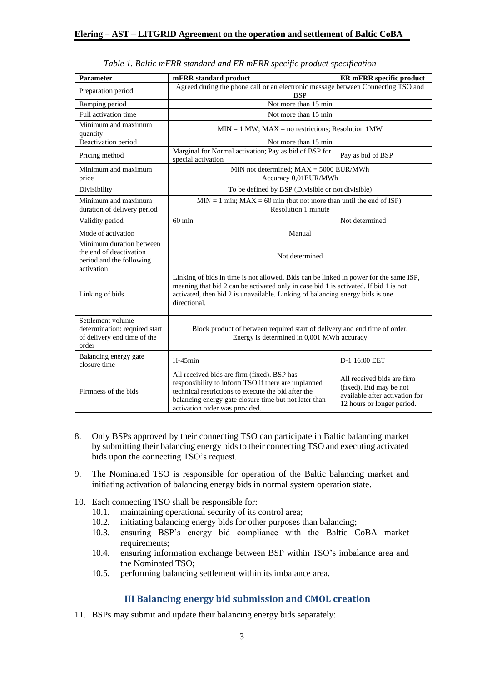| <b>Parameter</b>                                                                              | mFRR standard product                                                                                                                                                                                                                                                          | ER mFRR specific product                                                                                              |
|-----------------------------------------------------------------------------------------------|--------------------------------------------------------------------------------------------------------------------------------------------------------------------------------------------------------------------------------------------------------------------------------|-----------------------------------------------------------------------------------------------------------------------|
| Preparation period                                                                            | Agreed during the phone call or an electronic message between Connecting TSO and<br><b>BSP</b>                                                                                                                                                                                 |                                                                                                                       |
| Ramping period                                                                                | Not more than 15 min                                                                                                                                                                                                                                                           |                                                                                                                       |
| Full activation time                                                                          | Not more than 15 min                                                                                                                                                                                                                                                           |                                                                                                                       |
| Minimum and maximum<br>quantity                                                               | $MIN = 1 MW$ ; $MAX = no$ restrictions; Resolution 1MW                                                                                                                                                                                                                         |                                                                                                                       |
| Deactivation period                                                                           | Not more than 15 min                                                                                                                                                                                                                                                           |                                                                                                                       |
| Pricing method                                                                                | Marginal for Normal activation; Pay as bid of BSP for<br>special activation                                                                                                                                                                                                    | Pay as bid of BSP                                                                                                     |
| Minimum and maximum<br>price                                                                  | MIN not determined; $MAX = 5000$ EUR/MWh<br>Accuracy 0,01EUR/MWh                                                                                                                                                                                                               |                                                                                                                       |
| Divisibility                                                                                  | To be defined by BSP (Divisible or not divisible)                                                                                                                                                                                                                              |                                                                                                                       |
| Minimum and maximum<br>duration of delivery period                                            | $MIN = 1$ min; $MAX = 60$ min (but not more than until the end of ISP).<br>Resolution 1 minute                                                                                                                                                                                 |                                                                                                                       |
| Validity period                                                                               | $60 \text{ min}$                                                                                                                                                                                                                                                               | Not determined                                                                                                        |
| Mode of activation                                                                            | Manual                                                                                                                                                                                                                                                                         |                                                                                                                       |
| Minimum duration between<br>the end of deactivation<br>period and the following<br>activation | Not determined                                                                                                                                                                                                                                                                 |                                                                                                                       |
| Linking of bids                                                                               | Linking of bids in time is not allowed. Bids can be linked in power for the same ISP,<br>meaning that bid 2 can be activated only in case bid 1 is activated. If bid 1 is not<br>activated, then bid 2 is unavailable. Linking of balancing energy bids is one<br>directional. |                                                                                                                       |
| Settlement volume<br>determination: required start<br>of delivery end time of the<br>order    | Block product of between required start of delivery and end time of order.<br>Energy is determined in 0,001 MWh accuracy                                                                                                                                                       |                                                                                                                       |
| Balancing energy gate<br>closure time                                                         | $H-45$ min                                                                                                                                                                                                                                                                     | D-1 16:00 EET                                                                                                         |
| Firmness of the bids                                                                          | All received bids are firm (fixed). BSP has<br>responsibility to inform TSO if there are unplanned<br>technical restrictions to execute the bid after the<br>balancing energy gate closure time but not later than<br>activation order was provided.                           | All received bids are firm<br>(fixed). Bid may be not<br>available after activation for<br>12 hours or longer period. |

*Table 1. Baltic mFRR standard and ER mFRR specific product specification*

- 8. Only BSPs approved by their connecting TSO can participate in Baltic balancing market by submitting their balancing energy bids to their connecting TSO and executing activated bids upon the connecting TSO's request.
- 9. The Nominated TSO is responsible for operation of the Baltic balancing market and initiating activation of balancing energy bids in normal system operation state.
- 10. Each connecting TSO shall be responsible for:
	- 10.1. maintaining operational security of its control area;
	- 10.2. initiating balancing energy bids for other purposes than balancing;
	- 10.3. ensuring BSP's energy bid compliance with the Baltic CoBA market requirements;
	- 10.4. ensuring information exchange between BSP within TSO's imbalance area and the Nominated TSO;
	- 10.5. performing balancing settlement within its imbalance area.

### **III Balancing energy bid submission and CMOL creation**

11. BSPs may submit and update their balancing energy bids separately: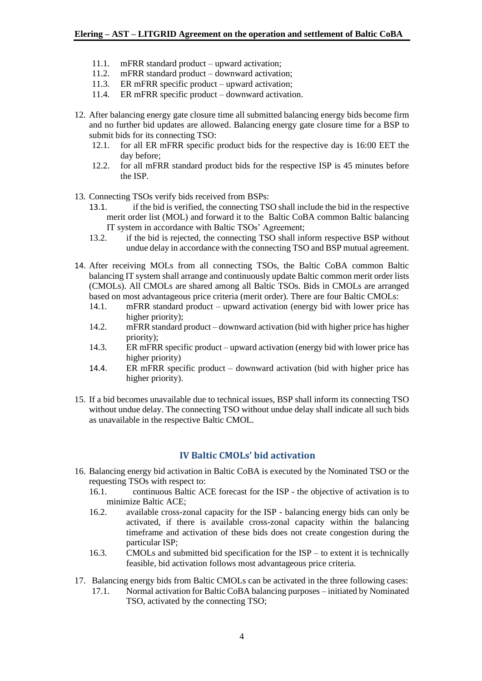- 11.1. mFRR standard product upward activation;
- 11.2. mFRR standard product downward activation;
- 11.3. ER mFRR specific product upward activation;
- 11.4. ER mFRR specific product downward activation.
- 12. After balancing energy gate closure time all submitted balancing energy bids become firm and no further bid updates are allowed. Balancing energy gate closure time for a BSP to submit bids for its connecting TSO:
	- 12.1. for all ER mFRR specific product bids for the respective day is 16:00 EET the day before;
	- 12.2. for all mFRR standard product bids for the respective ISP is 45 minutes before the ISP.
- 13. Connecting TSOs verify bids received from BSPs:
	- 13.1. if the bid is verified, the connecting TSO shall include the bid in the respective merit order list (MOL) and forward it to the Baltic CoBA common Baltic balancing IT system in accordance with Baltic TSOs' Agreement;
	- 13.2. if the bid is rejected, the connecting TSO shall inform respective BSP without undue delay in accordance with the connecting TSO and BSP mutual agreement.
- 14. After receiving MOLs from all connecting TSOs, the Baltic CoBA common Baltic balancing IT system shall arrange and continuously update Baltic common merit order lists (CMOLs). All CMOLs are shared among all Baltic TSOs. Bids in CMOLs are arranged based on most advantageous price criteria (merit order). There are four Baltic CMOLs:
	- 14.1. mFRR standard product upward activation (energy bid with lower price has higher priority);
	- 14.2. mFRR standard product downward activation (bid with higher price has higher priority);
	- 14.3. ER mFRR specific product upward activation (energy bid with lower price has higher priority)
	- 14.4. ER mFRR specific product downward activation (bid with higher price has higher priority).
- 15. If a bid becomes unavailable due to technical issues, BSP shall inform its connecting TSO without undue delay. The connecting TSO without undue delay shall indicate all such bids as unavailable in the respective Baltic CMOL.

### **IV Baltic CMOLs' bid activation**

- 16. Balancing energy bid activation in Baltic CoBA is executed by the Nominated TSO or the requesting TSOs with respect to:
	- 16.1. continuous Baltic ACE forecast for the ISP the objective of activation is to minimize Baltic ACE;
	- 16.2. available cross-zonal capacity for the ISP balancing energy bids can only be activated, if there is available cross-zonal capacity within the balancing timeframe and activation of these bids does not create congestion during the particular ISP;
	- 16.3. CMOLs and submitted bid specification for the ISP to extent it is technically feasible, bid activation follows most advantageous price criteria.
- 17. Balancing energy bids from Baltic CMOLs can be activated in the three following cases: 17.1. Normal activation for Baltic CoBA balancing purposes – initiated by Nominated TSO, activated by the connecting TSO;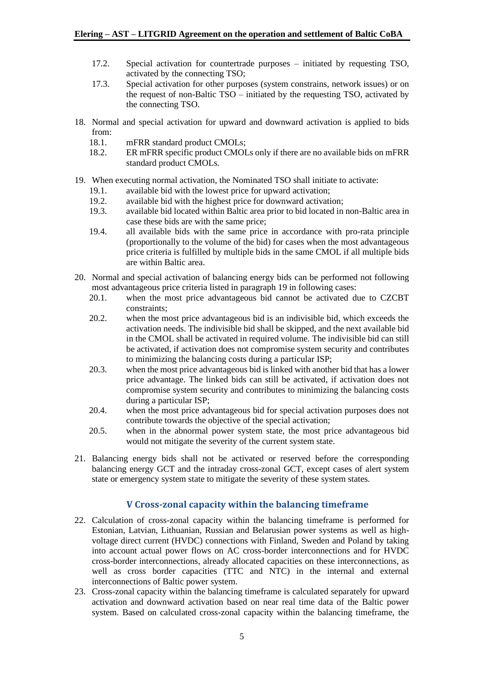- 17.2. Special activation for countertrade purposes initiated by requesting TSO, activated by the connecting TSO;
- 17.3. Special activation for other purposes (system constrains, network issues) or on the request of non-Baltic TSO – initiated by the requesting TSO, activated by the connecting TSO.
- 18. Normal and special activation for upward and downward activation is applied to bids from:
	- 18.1. mFRR standard product CMOLs;
	- 18.2. ER mFRR specific product CMOLs only if there are no available bids on mFRR standard product CMOLs.
- <span id="page-4-0"></span>19. When executing normal activation, the Nominated TSO shall initiate to activate:
	- 19.1. available bid with the lowest price for upward activation;
	- 19.2. available bid with the highest price for downward activation;
	- 19.3. available bid located within Baltic area prior to bid located in non-Baltic area in case these bids are with the same price;
	- 19.4. all available bids with the same price in accordance with pro-rata principle (proportionally to the volume of the bid) for cases when the most advantageous price criteria is fulfilled by multiple bids in the same CMOL if all multiple bids are within Baltic area.
- 20. Normal and special activation of balancing energy bids can be performed not following most advantageous price criteria listed in paragraph [19](#page-4-0) in following cases:
	- 20.1. when the most price advantageous bid cannot be activated due to CZCBT constraints;
	- 20.2. when the most price advantageous bid is an indivisible bid, which exceeds the activation needs. The indivisible bid shall be skipped, and the next available bid in the CMOL shall be activated in required volume. The indivisible bid can still be activated, if activation does not compromise system security and contributes to minimizing the balancing costs during a particular ISP;
	- 20.3. when the most price advantageous bid is linked with another bid that has a lower price advantage. The linked bids can still be activated, if activation does not compromise system security and contributes to minimizing the balancing costs during a particular ISP;
	- 20.4. when the most price advantageous bid for special activation purposes does not contribute towards the objective of the special activation;
	- 20.5. when in the abnormal power system state, the most price advantageous bid would not mitigate the severity of the current system state.
- 21. Balancing energy bids shall not be activated or reserved before the corresponding balancing energy GCT and the intraday cross-zonal GCT, except cases of alert system state or emergency system state to mitigate the severity of these system states.

#### **V Cross-zonal capacity within the balancing timeframe**

- 22. Calculation of cross-zonal capacity within the balancing timeframe is performed for Estonian, Latvian, Lithuanian, Russian and Belarusian power systems as well as highvoltage direct current (HVDC) connections with Finland, Sweden and Poland by taking into account actual power flows on AC cross-border interconnections and for HVDC cross-border interconnections, already allocated capacities on these interconnections, as well as cross border capacities (TTC and NTC) in the internal and external interconnections of Baltic power system.
- 23. Cross-zonal capacity within the balancing timeframe is calculated separately for upward activation and downward activation based on near real time data of the Baltic power system. Based on calculated cross-zonal capacity within the balancing timeframe, the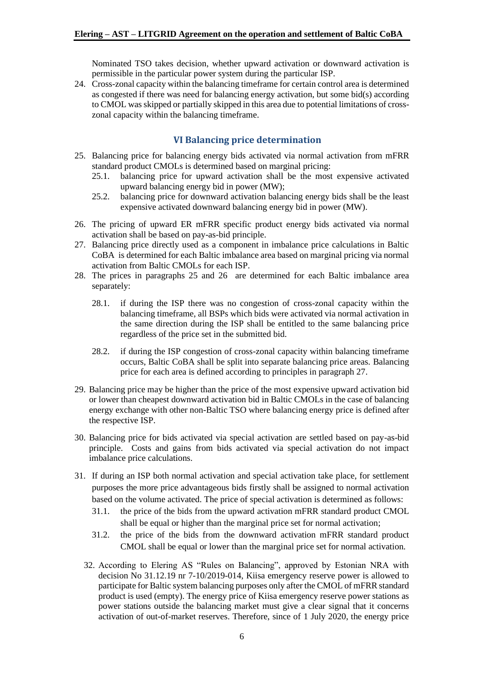Nominated TSO takes decision, whether upward activation or downward activation is permissible in the particular power system during the particular ISP.

24. Cross-zonal capacity within the balancing timeframe for certain control area is determined as congested if there was need for balancing energy activation, but some bid(s) according to CMOL was skipped or partially skipped in this area due to potential limitations of crosszonal capacity within the balancing timeframe.

## <span id="page-5-1"></span>**VI Balancing price determination**

- <span id="page-5-0"></span>25. Balancing price for balancing energy bids activated via normal activation from mFRR standard product CMOLs is determined based on marginal pricing:
	- 25.1. balancing price for upward activation shall be the most expensive activated upward balancing energy bid in power (MW);
	- 25.2. balancing price for downward activation balancing energy bids shall be the least expensive activated downward balancing energy bid in power (MW).
- 26. The pricing of upward ER mFRR specific product energy bids activated via normal activation shall be based on pay-as-bid principle.
- 27. Balancing price directly used as a component in imbalance price calculations in Baltic CoBA is determined for each Baltic imbalance area based on marginal pricing via normal activation from Baltic CMOLs for each ISP.
- 28. The prices in paragraphs [25](#page-5-0) and [26](#page-5-1) are determined for each Baltic imbalance area separately:
	- 28.1. if during the ISP there was no congestion of cross-zonal capacity within the balancing timeframe, all BSPs which bids were activated via normal activation in the same direction during the ISP shall be entitled to the same balancing price regardless of the price set in the submitted bid.
	- 28.2. if during the ISP congestion of cross-zonal capacity within balancing timeframe occurs, Baltic CoBA shall be split into separate balancing price areas. Balancing price for each area is defined according to principles in paragraph 27.
- 29. Balancing price may be higher than the price of the most expensive upward activation bid or lower than cheapest downward activation bid in Baltic CMOLs in the case of balancing energy exchange with other non-Baltic TSO where balancing energy price is defined after the respective ISP.
- 30. Balancing price for bids activated via special activation are settled based on pay-as-bid principle. Costs and gains from bids activated via special activation do not impact imbalance price calculations.
- 31. If during an ISP both normal activation and special activation take place, for settlement purposes the more price advantageous bids firstly shall be assigned to normal activation based on the volume activated. The price of special activation is determined as follows:
	- 31.1. the price of the bids from the upward activation mFRR standard product CMOL shall be equal or higher than the marginal price set for normal activation;
	- 31.2. the price of the bids from the downward activation mFRR standard product CMOL shall be equal or lower than the marginal price set for normal activation.
	- 32. According to Elering AS "Rules on Balancing", approved by Estonian NRA with decision No 31.12.19 nr 7-10/2019-014, Kiisa emergency reserve power is allowed to participate for Baltic system balancing purposes only after the CMOL of mFRR standard product is used (empty). The energy price of Kiisa emergency reserve power stations as power stations outside the balancing market must give a clear signal that it concerns activation of out-of-market reserves. Therefore, since of 1 July 2020, the energy price